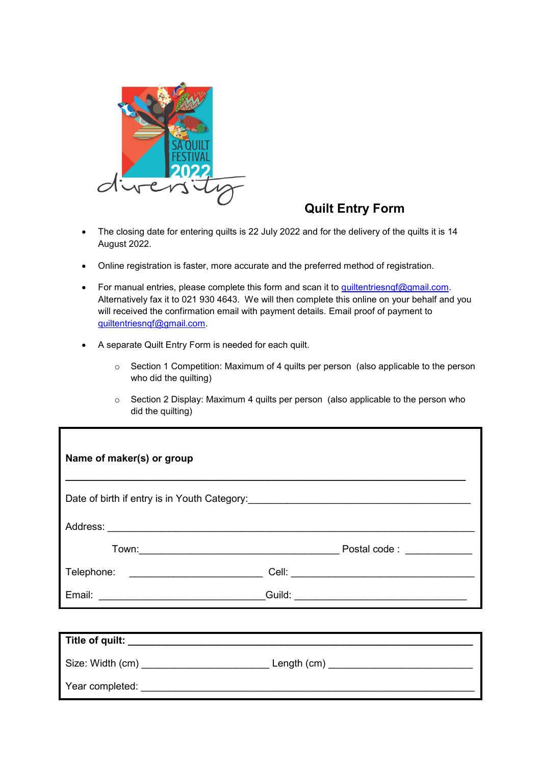

# **Quilt Entry Form**

- The closing date for entering quilts is 22 July 2022 and for the delivery of the quilts it is 14 August 2022.
- Online registration is faster, more accurate and the preferred method of registration.
- For manual entries, please complete this form and scan it to quiltentriesngf@gmail.com. Alternatively fax it to 021 930 4643. We will then complete this online on your behalf and you will received the confirmation email with payment details. Email proof of payment to [quiltentriesnqf@gmail.com.](mailto:quiltentriesnqf@gmail.com)
- A separate Quilt Entry Form is needed for each quilt.
	- o Section 1 Competition: Maximum of 4 quilts per person (also applicable to the person who did the quilting)
	- o Section 2 Display: Maximum 4 quilts per person (also applicable to the person who did the quilting)

| Name of maker(s) or group                                                                           |                                          |
|-----------------------------------------------------------------------------------------------------|------------------------------------------|
| Date of birth if entry is in Youth Category:<br><u>Date of birth if entry is in Youth Category:</u> |                                          |
|                                                                                                     |                                          |
|                                                                                                     | Postal code : ____________               |
|                                                                                                     |                                          |
|                                                                                                     |                                          |
|                                                                                                     |                                          |
|                                                                                                     |                                          |
|                                                                                                     | Size: Width (cm) Length (cm) Length (cm) |
| Year completed:                                                                                     |                                          |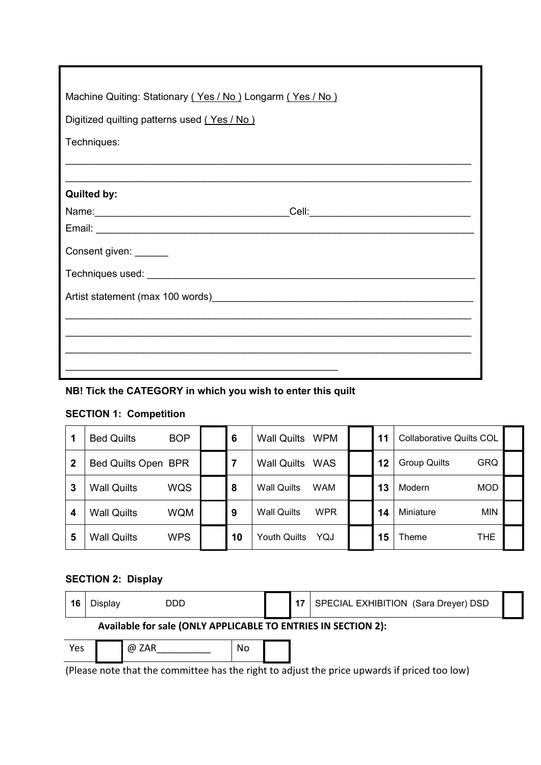| Machine Quiting: Stationary (Yes / No) Longarm (Yes / No) |  |  |  |  |
|-----------------------------------------------------------|--|--|--|--|
| Digitized quilting patterns used (Yes / No)               |  |  |  |  |
| Techniques:                                               |  |  |  |  |
|                                                           |  |  |  |  |
| <b>Quilted by:</b>                                        |  |  |  |  |
|                                                           |  |  |  |  |
|                                                           |  |  |  |  |
| Consent given: ______                                     |  |  |  |  |
|                                                           |  |  |  |  |
|                                                           |  |  |  |  |
|                                                           |  |  |  |  |
|                                                           |  |  |  |  |
|                                                           |  |  |  |  |
|                                                           |  |  |  |  |

## **NB! Tick the CATEGORY in which you wish to enter this quilt**

## **SECTION 1: Competition**

|   | <b>Bed Quilts</b>   | <b>BOP</b> | 6  | <b>Wall Quilts</b><br><b>WPM</b> | 11 | <b>Collaborative Quilts COL</b>   |  |
|---|---------------------|------------|----|----------------------------------|----|-----------------------------------|--|
| 2 | Bed Quilts Open BPR |            |    | <b>Wall Quilts</b><br><b>WAS</b> | 12 | <b>GRQ</b><br><b>Group Quilts</b> |  |
| 3 | <b>Wall Quilts</b>  | WQS        | 8  | <b>Wall Quilts</b><br><b>WAM</b> | 13 | <b>MOD</b><br>Modern              |  |
| 4 | <b>Wall Quilts</b>  | <b>WQM</b> | 9  | <b>WPR</b><br><b>Wall Quilts</b> | 14 | <b>MIN</b><br>Miniature           |  |
| 5 | <b>Wall Quilts</b>  | <b>WPS</b> | 10 | Youth Quilts<br>YQJ              | 15 | THE<br>Theme                      |  |

## **SECTION 2: Display**

| 16  | الOisplav | DDD                                                           |    | 17 | SPECIAL EXHIBITION (Sara Dreyer) DSD |  |
|-----|-----------|---------------------------------------------------------------|----|----|--------------------------------------|--|
|     |           | Available for sale (ONLY APPLICABLE TO ENTRIES IN SECTION 2): |    |    |                                      |  |
| Yes |           | @ ZAR                                                         | No |    |                                      |  |

(Please note that the committee has the right to adjust the price upwards if priced too low)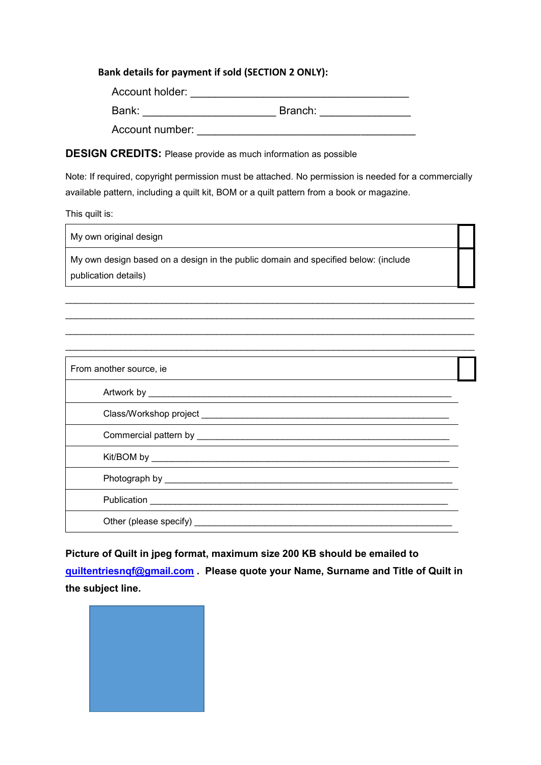### **Bank details for payment if sold (SECTION 2 ONLY):**

| Account holder: |         |
|-----------------|---------|
| Bank:           | Branch: |
| Account number: |         |

### **DESIGN CREDITS:** Please provide as much information as possible

Note: If required, copyright permission must be attached. No permission is needed for a commercially available pattern, including a quilt kit, BOM or a quilt pattern from a book or magazine.

This quilt is:

 $\mathbf{r}$ 

| My own original design                                                                                     |  |
|------------------------------------------------------------------------------------------------------------|--|
| My own design based on a design in the public domain and specified below: (include<br>publication details) |  |

 $\_$  , and the set of the set of the set of the set of the set of the set of the set of the set of the set of the set of the set of the set of the set of the set of the set of the set of the set of the set of the set of th \_\_\_\_\_\_\_\_\_\_\_\_\_\_\_\_\_\_\_\_\_\_\_\_\_\_\_\_\_\_\_\_\_\_\_\_\_\_\_\_\_\_\_\_\_\_\_\_\_\_\_\_\_\_\_\_\_\_\_\_\_\_\_\_\_\_\_\_\_\_\_\_\_\_\_\_\_\_\_\_\_ \_\_\_\_\_\_\_\_\_\_\_\_\_\_\_\_\_\_\_\_\_\_\_\_\_\_\_\_\_\_\_\_\_\_\_\_\_\_\_\_\_\_\_\_\_\_\_\_\_\_\_\_\_\_\_\_\_\_\_\_\_\_\_\_\_\_\_\_\_\_\_\_\_\_\_\_\_\_\_\_\_  $\_$  , and the set of the set of the set of the set of the set of the set of the set of the set of the set of the set of the set of the set of the set of the set of the set of the set of the set of the set of the set of th

| From another source, ie        |  |  |  |  |
|--------------------------------|--|--|--|--|
|                                |  |  |  |  |
|                                |  |  |  |  |
|                                |  |  |  |  |
|                                |  |  |  |  |
|                                |  |  |  |  |
| Publication <b>Publication</b> |  |  |  |  |
|                                |  |  |  |  |

**Picture of Quilt in jpeg format, maximum size 200 KB should be emailed to [quiltentriesnqf@gmail.com](mailto:quiltentriesnqf@gmail.com) . Please quote your Name, Surname and Title of Quilt in the subject line.**